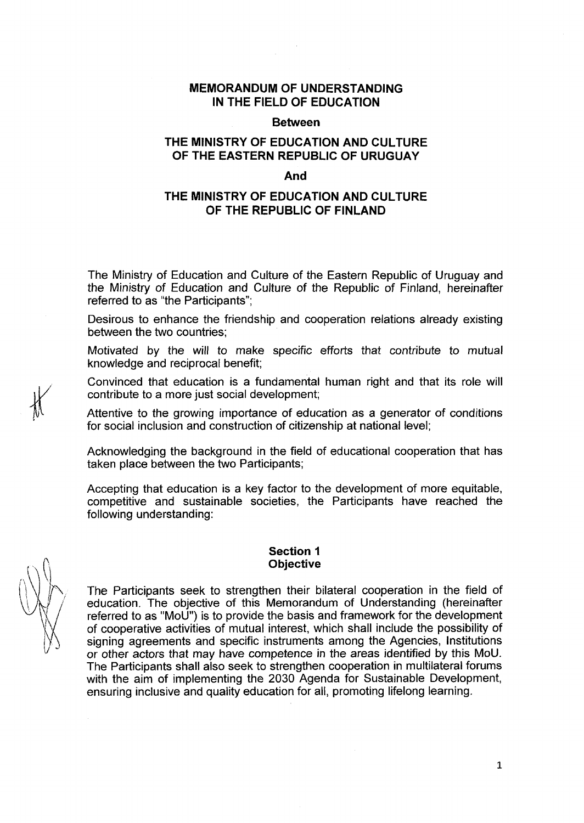# **MEMORANDUM OF UNDERSTANDING IN THE FIELD OF EDUCATION**

#### **Between**

# **THE MINISTRY OF EDUCATION AND CULTURE OF THE EASTERN REPUBLIC OF URUGUAY**

#### **And**

# **THE MINISTRY OF EDUCATION AND CULTURE OF THE REPUBLIC OF FINLAND**

The Ministry of Education and Culture of the Eastern Republic of Uruguay and the Ministry of Education and Culture of the Republic of Finland, hereinafter referred to as "the Participants";

Desirous to enhance the friendship and cooperation relations already existing between the two countries:

Motivated by the will to make specific efforts that contribute to mutual Knowledge and reciprocal benefit;

Convinced that education is a fundamental human right and that its role will contribute to a more just social development;

Attentive to the growing importance of education as a generator of conditions for social inclusion and construction of citizenship at national level;

Acknowledging the background in the field of educational cooperation that has taken place between the two Participants;

Accepting that education is a key factor to the development of more equitable, competitive and sustainable societies, the Participants have reached the following understanding:

#### **Section <sup>1</sup> Objective**

The Participants seek to strengthen their bilateral cooperation in the field of education. The objective of this Memorandum of Understanding (hereinafter referred to as "MoU") is to provide the basis and framework for the development of cooperative activities of mutual interest, which shall include the possibility of signing agreements and specific instruments among the Agencies, Institutions or other actors that may have competence in the areas identified by this MoU. The Participants shall also seek to strengthen cooperation in multilateral forums with the aim of implementing the 2030 Agenda for Sustainable Development, ensuring inclusive and quality education for ali, promoting lifelong learning.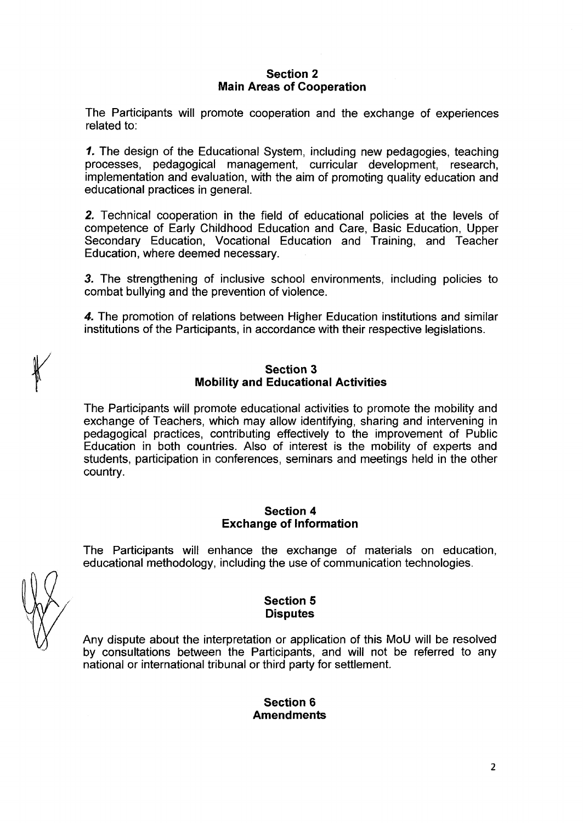### **Section 2 Main Areas of Cooperation**

The Participants will promote cooperation and the exchange of experiences related to:

*1.* The design of the Educational System, including new pedagogies, teaching processes, pedagogical management, curricular development, research, implementation and evaluation, with the aim of promoting quality education and educational practices in general.

*2.* Technical cooperation in the field of educational policies at the levels of competence of Early Childhood Education and Care, Basic Education, Upper Secondary Education, Vocational Education and Training, and Teacher Education, where deemed necessary.

*3.* The strengthening of inclusive school environments, including policies to combat bullying and the prevention of violence.

*4.* The promotion of relations between Higher Education institutions and similar institutions of the Participants, in accordance with their respective legislations.

### **Section 3 Mobility and Educational Activities**

The Participants will promote educational activities to promote the mobility and exchange of Teachers, which may allow identifying, sharing and intervening in pedagogical practices, contributing effectively to the improvement of Public Education in both countries. Also of interest is the mobility of experts and students, participation in conferences, seminars and meetings held in the other country.

#### **Section 4 Exchange of Information**

The Participants will enhance the exchange of materials on education, educational methodology, including the use of Communication technologies.

### **Section 5 Disputes**

Any dispute about the interpretation or application of this MoU will be resolved by consultations between the Participants, and will not be referred to any national or international tribunal or third party for settlement.

# **Section 6 Amendments**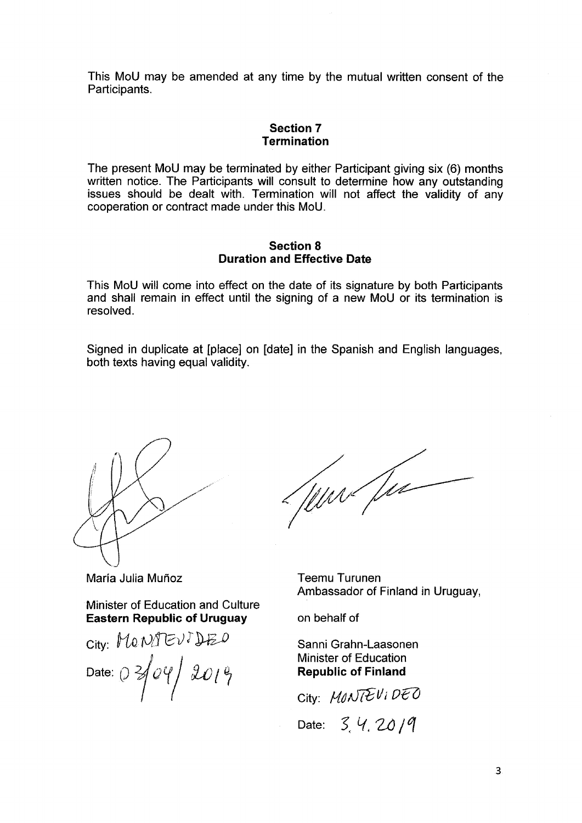This MoU may be amended at any time by the mutual written consent of the Participants.

### **Section 7 Termination**

The present MoU may be terminated by either Participant giving six (6) months written notice. The Participants will consult to determine how any outstanding issues should be dealt with. Termination will not affect the validity of any cooperation or contract made under this MoU.

### **Section 8 Duration and Effective Date**

This MoU wili come into effect on the date of its signature by both Participants and shall remain in effect until the signing of a new MoU or its termination is resolved.

Signed in duplicate at [place] on [date] in the Spanish and English languages, both texts having equal validity.

Jenn Ju

María Julia Muñoz **Teemu Turunen** 

Minister of Education and Culture **Eastern Republic of Uruguay** on behalf of

City:  $M \& N \& V \& D \& O$ <br>
Date:  $0 \frac{2}{3} O \& \int \frac{2}{1} O \& \int \frac{2}{7}$ <br>
Sanni Grahn-Laasonen<br>
Minister of Education<br>
Republic of Finland

Ambassador of Finland in Uruguay,

Minister of Education **Republic of Finland**

City: MONTEViDEO

Date: 3, 4, 2019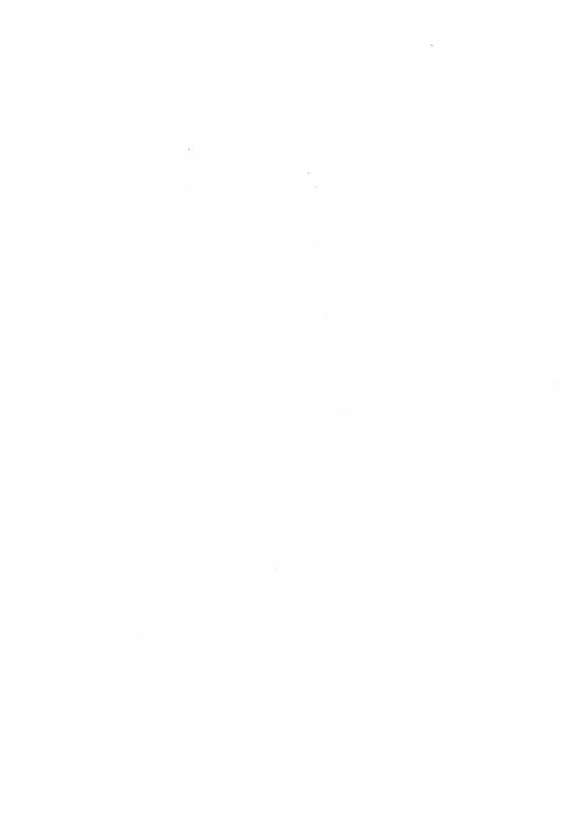$\label{eq:1} \frac{\partial \mathcal{L}_{\text{max}}}{\partial \mathcal{L}_{\text{max}}^2} = \frac{1}{2} \sum_{i=1}^{N} \frac{1}{2} \sum_{j=1}^{N} \frac{1}{2} \sum_{j=1}^{N} \frac{1}{2} \sum_{j=1}^{N} \frac{1}{2} \sum_{j=1}^{N} \frac{1}{2} \sum_{j=1}^{N} \frac{1}{2} \sum_{j=1}^{N} \frac{1}{2} \sum_{j=1}^{N} \frac{1}{2} \sum_{j=1}^{N} \frac{1}{2} \sum_{j=1}^{N} \frac{1}{2} \sum_{$ 

 $\label{eq:2.1} \frac{1}{\sqrt{2}}\int_{\mathbb{R}^3}\frac{1}{\sqrt{2}}\left(\frac{1}{\sqrt{2}}\right)^2\left(\frac{1}{\sqrt{2}}\right)^2\left(\frac{1}{\sqrt{2}}\right)^2\left(\frac{1}{\sqrt{2}}\right)^2\left(\frac{1}{\sqrt{2}}\right)^2.$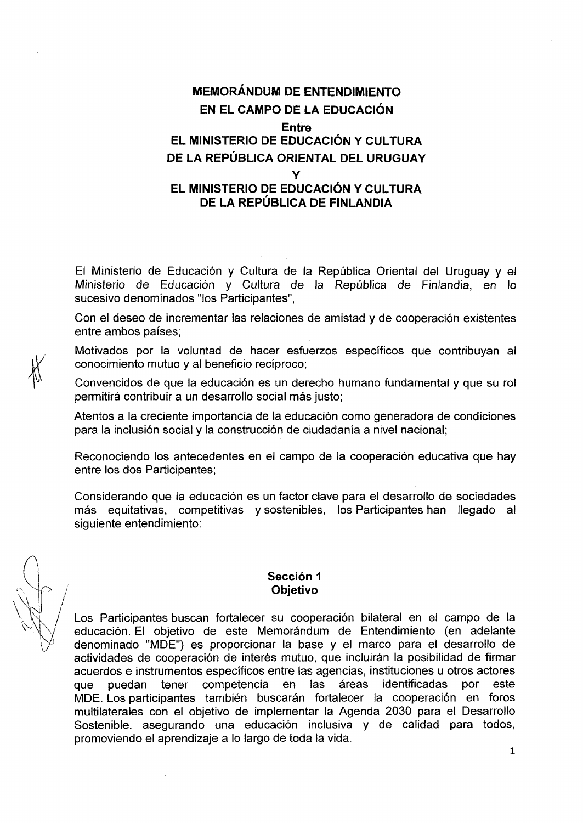# **MEMORÄNDUM DE ENTENDIMIENTO EN EL CAMPO DE LA EDUCACIÖN Entre EL MINISTERIÖ DE EDUCACIÖN Y CULTURA DE LA REPUBLICA ORIENTAL DEL URUGUAY Y**

# **EL MINISTERIÖ DE EDUCACIÖN Y CULTURA DE LA REPUBLICA DE FINLANDIA**

El Ministeriö de Educaciön y CuItura de la Republica Oriental del Uruguay y el Ministerio de Educación y Cultura de la República de Finlandia, en lo sucesivo denominados "los Participantes",

Gon el deseo de incrementar las relaciones de amistad y de cooperaciön existentes entre ambos paises;

Motivados por la voluntad de hacer esfuerzos especificos que contribuyan ai conocimiento mutuo y ai beneficio reciproco;

Convencidos de que la educaciön es un derecho humano fundamental y que su rol permitirá contribuir a un desarrollo social más justo;

Atentos a la creciente importancia de la educaciön como generadora de condiciones para la inclusiön social y la construcciön de ciudadanla a nivel nacional;

Reconociendo los antecedentes en el campo de la cooperaciön educativa que hay entre los dos Participantes;

Considerando que la educaciön es un factor clave para el desarrollo de sociedades más equitativas, competitivas y sostenibles, los Participantes han llegado al siguiente entendimiento:

# **Secciön <sup>1</sup> Objetivo**

Los Participantes buscan fortalecer su cooperaciön bilateral en el campo de la educación. El objetivo de este Memorándum de Entendimiento (en adelante denominado "MDE") es proporcionar la base y el marco para el desarrollo de actividades de cooperación de interés mutuo, que incluirán la posibilidad de firmar acuerdos e instrumentos especificos entre las agencias, instituciones u otros actores que puedan tener competencia en las äreas identificadas por este MDE. Los participantes tambien buscarän fortalecer la cooperaciön en foros multilaterales con el objetivo de implementar la Agenda 2030 para el Desarrollo Sostenible, asegurando una educaciön inclusiva y de calidad para todos, promoviendo el aprendizaje a lo largo de toda la vida.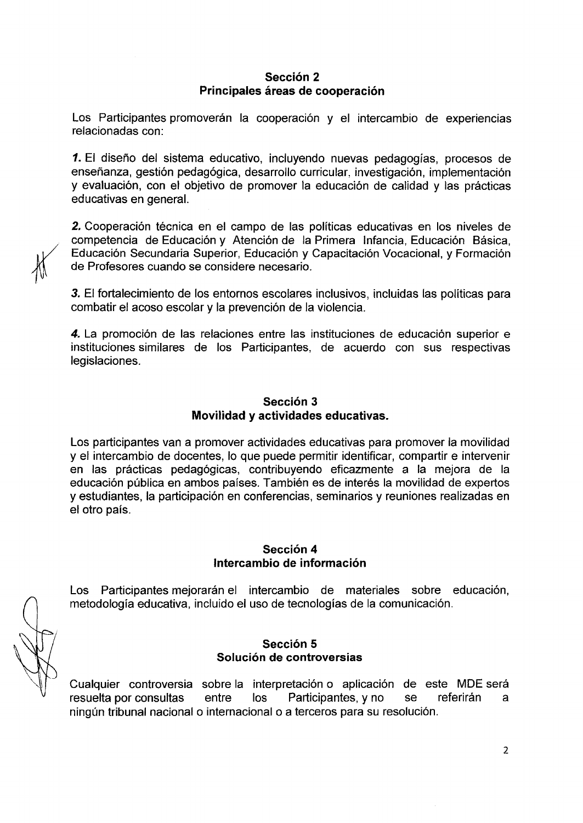# **Secciön 2 Principales äreas de cooperaciön**

Los Participantes promoverän la cooperaciön y el intercambio de experiencias relacionadas con:

*1.* El disefio del sistema educativo, incluyendo nuevas pedagogias, procesos de enseñanza, gestión pedagógica, desarrollo curricular, investigación, implementación y evaluaciön, con el objetivo de promover la educaciön de calidad y las präcticas educativas en general.

**r**

2. Cooperación técnica en el campo de las políticas educativas en los niveles de competencia de Educaciön y Atenciön de la Primera Infancia, Educaciön Bäsica, Educaciön Secundaria Superior, Educaciön y Capacitaciön Vocacional, y Formaciön de Profesores cuando se considere necesario.

combatir el acoso escolar y la prevención de la violencia.

4. La promoción de las relaciones entre las instituciones de educación superior e instituciones similares de los Participantes, de acuerdo con sus respectivas legislaciones.

# **Secciön 3 Movilidad y actividades educativas.**

Los participantes van a promover actividades educativas para promover la movilidad y el intercambio de docentes, lo que puede permitir identificar, compartir e intervenir en las präcticas pedagögicas, contribuyendo eficazmente a la mejora de la educación pública en ambos países. También es de interés la movilidad de expertos y estudiantes, la participaciön en conferencias, seminarios y reuniones realizadas en el otro pais.

# **Secciön 4 Intercambio de informaciön**

Los Participantes mejorarän el intercambio de materiales sobre educaciön, metodologia educativa, incluido el uso de tecnologias de la comunicaciön.

### **Secciön 5 Soluciön de controversias**

Cualquier controversia sobre la interpretaciön o aplicaciön de este MDE serä resuelta por consultas entre los Participantes, y no se referirän a ningún tribunal nacional o internacional o a terceros para su resolución.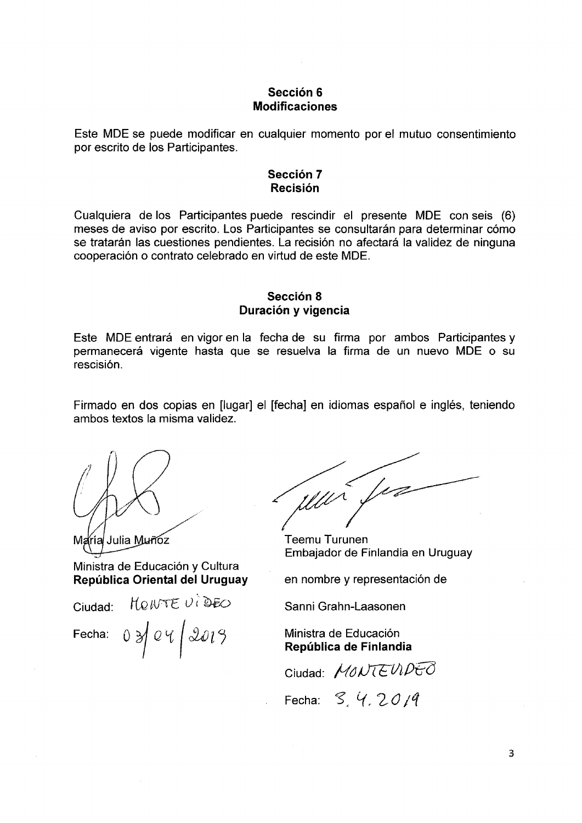# **Secciön 6 Modificaciones**

Este MDE se puede modificar en cualquier momento por el mutuo consentimiento por escrito de los Participantes.

# **Secciön 7 Recisiön**

Cualquiera de los Participantes puede rescindir el presente MDE con seis (6) meses de aviso por escrito. Los Participantes se consultarän para determinar cömo se tratarän las cuestiones pendientes. La recisiön no afectarä la validez de ninguna cooperaciön o contrato celebrado en virtud de este MDE.

# **Secciön 8 Duraciön y vigencia**

Este MDE entrarä en vigor en la fecha de su firma por ambos Participantes y permanecerä vigente hasta que se resuelva la firma de un nuevo MDE o su rescisiön.

Firmado en dos copias en [lugar] el [fecha] en idiomas español e inglés, teniendo ambos textos la misma validez.

Maria Julia Munoz

Ministra de Educación y Cultura **Republica Oriental del Uruguay** en nombre y representaciön de

Ciudad:  $H Q W T E U \hat{i} \Phi E Q$  Sanni Grahn-Laasonen Fecha:  $0 \frac{3}{2}$   $0 \frac{4}{3}$ 

**Teemu Turunen** Embajador de Finlandia en Uruguay

Ministra de Educación República de Finlandia

Ciudad: *MöUttttPS?)*

Fecha: 3, 4, 2019